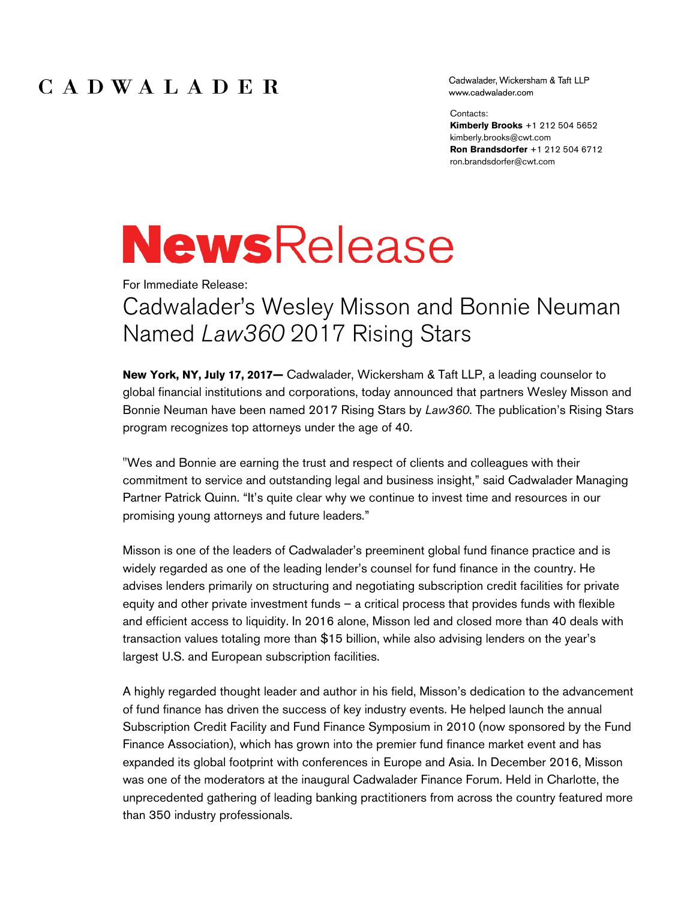## CADWALADER

Cadwalader, Wickersham & Taft LLP www.cadwalader.com

Contacts:

**Kimberly Brooks** +1 212 504 5652 kimberly.brooks@cwt.com **Ron Brandsdorfer** +1 212 504 6712 ron.brandsdorfer@cwt.com

## **NewsRelease**

For Immediate Release:

## Cadwalader's Wesley Misson and Bonnie Neuman Named *Law360* 2017 Rising Stars

**New York, NY, July 17, 2017—** Cadwalader, Wickersham & Taft LLP, a leading counselor to global financial institutions and corporations, today announced that partners Wesley Misson and Bonnie Neuman have been named 2017 Rising Stars by *Law360*. The publication's Rising Stars program recognizes top attorneys under the age of 40.

"Wes and Bonnie are earning the trust and respect of clients and colleagues with their commitment to service and outstanding legal and business insight," said Cadwalader Managing Partner Patrick Quinn. "It's quite clear why we continue to invest time and resources in our promising young attorneys and future leaders."

Misson is one of the leaders of Cadwalader's preeminent global fund finance practice and is widely regarded as one of the leading lender's counsel for fund finance in the country. He advises lenders primarily on structuring and negotiating subscription credit facilities for private equity and other private investment funds – a critical process that provides funds with flexible and efficient access to liquidity. In 2016 alone, Misson led and closed more than 40 deals with transaction values totaling more than \$15 billion, while also advising lenders on the year's largest U.S. and European subscription facilities.

A highly regarded thought leader and author in his field, Misson's dedication to the advancement of fund finance has driven the success of key industry events. He helped launch the annual Subscription Credit Facility and Fund Finance Symposium in 2010 (now sponsored by the Fund Finance Association), which has grown into the premier fund finance market event and has expanded its global footprint with conferences in Europe and Asia. In December 2016, Misson was one of the moderators at the inaugural Cadwalader Finance Forum. Held in Charlotte, the unprecedented gathering of leading banking practitioners from across the country featured more than 350 industry professionals.